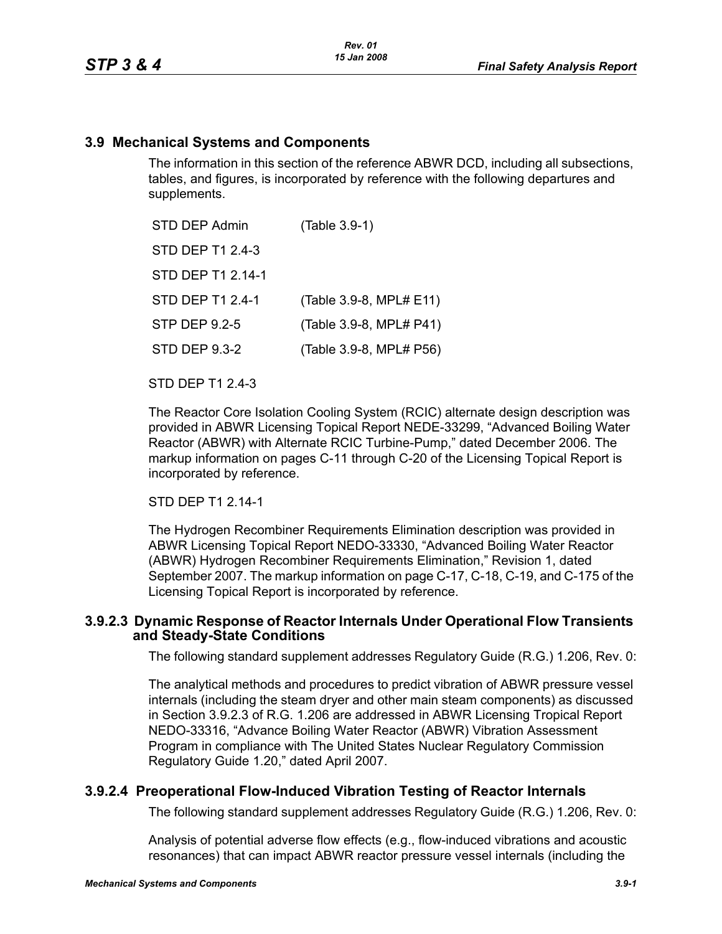#### **3.9 Mechanical Systems and Components**

The information in this section of the reference ABWR DCD, including all subsections, tables, and figures, is incorporated by reference with the following departures and supplements.

| STD DEP Admin     | (Table 3.9-1)           |
|-------------------|-------------------------|
| STD DEP T1 2.4-3  |                         |
| STD DEP T1 2.14-1 |                         |
| STD DEP T1 2.4-1  | (Table 3.9-8, MPL# E11) |
| STP DEP 9.2-5     | (Table 3.9-8, MPL# P41) |
| STD DEP 9.3-2     | (Table 3.9-8, MPL# P56) |

STD DEP T1 2.4-3

The Reactor Core Isolation Cooling System (RCIC) alternate design description was provided in ABWR Licensing Topical Report NEDE-33299, "Advanced Boiling Water Reactor (ABWR) with Alternate RCIC Turbine-Pump," dated December 2006. The markup information on pages C-11 through C-20 of the Licensing Topical Report is incorporated by reference.

#### STD DEP T1 2.14-1

The Hydrogen Recombiner Requirements Elimination description was provided in ABWR Licensing Topical Report NEDO-33330, "Advanced Boiling Water Reactor (ABWR) Hydrogen Recombiner Requirements Elimination," Revision 1, dated September 2007. The markup information on page C-17, C-18, C-19, and C-175 of the Licensing Topical Report is incorporated by reference.

#### **3.9.2.3 Dynamic Response of Reactor Internals Under Operational Flow Transients and Steady-State Conditions**

The following standard supplement addresses Regulatory Guide (R.G.) 1.206, Rev. 0:

The analytical methods and procedures to predict vibration of ABWR pressure vessel internals (including the steam dryer and other main steam components) as discussed in Section 3.9.2.3 of R.G. 1.206 are addressed in ABWR Licensing Tropical Report NEDO-33316, "Advance Boiling Water Reactor (ABWR) Vibration Assessment Program in compliance with The United States Nuclear Regulatory Commission Regulatory Guide 1.20," dated April 2007.

## **3.9.2.4 Preoperational Flow-Induced Vibration Testing of Reactor Internals**

The following standard supplement addresses Regulatory Guide (R.G.) 1.206, Rev. 0:

Analysis of potential adverse flow effects (e.g., flow-induced vibrations and acoustic resonances) that can impact ABWR reactor pressure vessel internals (including the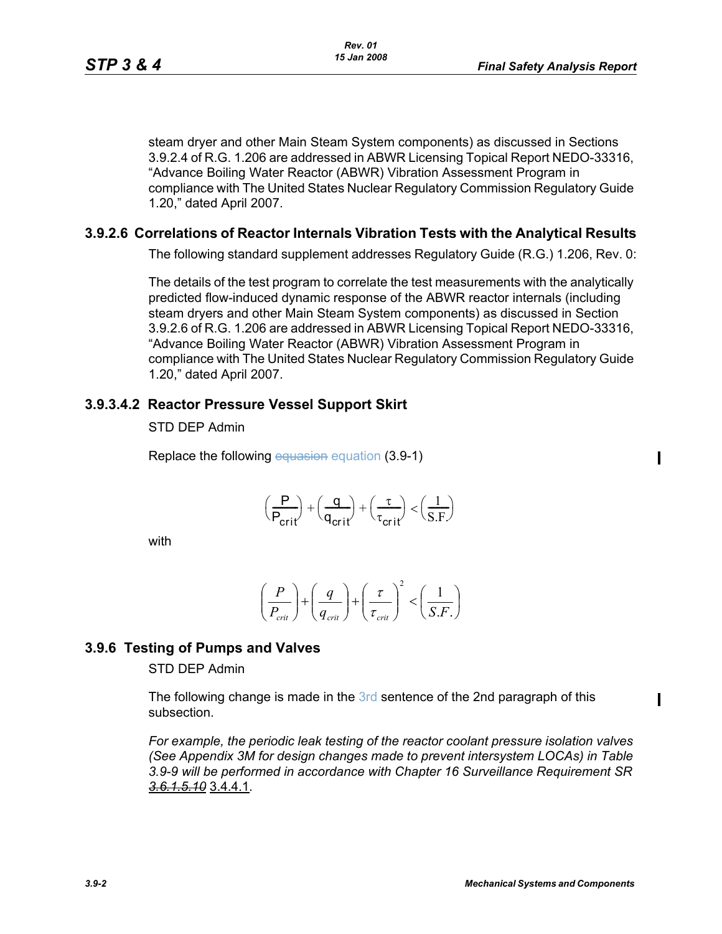steam dryer and other Main Steam System components) as discussed in Sections 3.9.2.4 of R.G. 1.206 are addressed in ABWR Licensing Topical Report NEDO-33316, "Advance Boiling Water Reactor (ABWR) Vibration Assessment Program in compliance with The United States Nuclear Regulatory Commission Regulatory Guide 1.20," dated April 2007.

#### **3.9.2.6 Correlations of Reactor Internals Vibration Tests with the Analytical Results**

The following standard supplement addresses Regulatory Guide (R.G.) 1.206, Rev. 0:

The details of the test program to correlate the test measurements with the analytically predicted flow-induced dynamic response of the ABWR reactor internals (including steam dryers and other Main Steam System components) as discussed in Section 3.9.2.6 of R.G. 1.206 are addressed in ABWR Licensing Topical Report NEDO-33316, "Advance Boiling Water Reactor (ABWR) Vibration Assessment Program in compliance with The United States Nuclear Regulatory Commission Regulatory Guide 1.20," dated April 2007.

#### **3.9.3.4.2 Reactor Pressure Vessel Support Skirt**

STD DEP Admin

Replace the following equasion equation (3.9-1)

 $\mathbf I$ 

 $\mathbf I$ 

$$
\left(\frac{\mathsf{P}}{\mathsf{P}_{crit}}\right) + \left(\frac{\mathsf{q}}{\mathsf{q}_{crit}}\right) + \left(\frac{\tau}{\tau_{crit}}\right) < \left(\frac{1}{S.F}\right)
$$

with

$$
\left(\frac{P}{P_{\text{crit}}}\right) + \left(\frac{q}{q_{\text{crit}}}\right) + \left(\frac{\tau}{\tau_{\text{crit}}}\right)^2 < \left(\frac{1}{S.F.}\right)
$$

## **3.9.6 Testing of Pumps and Valves**

STD DEP Admin

The following change is made in the 3rd sentence of the 2nd paragraph of this subsection.

*For example, the periodic leak testing of the reactor coolant pressure isolation valves (See Appendix 3M for design changes made to prevent intersystem LOCAs) in Table 3.9-9 will be performed in accordance with Chapter 16 Surveillance Requirement SR 3.6.1.5.10* 3.4.4.1*.*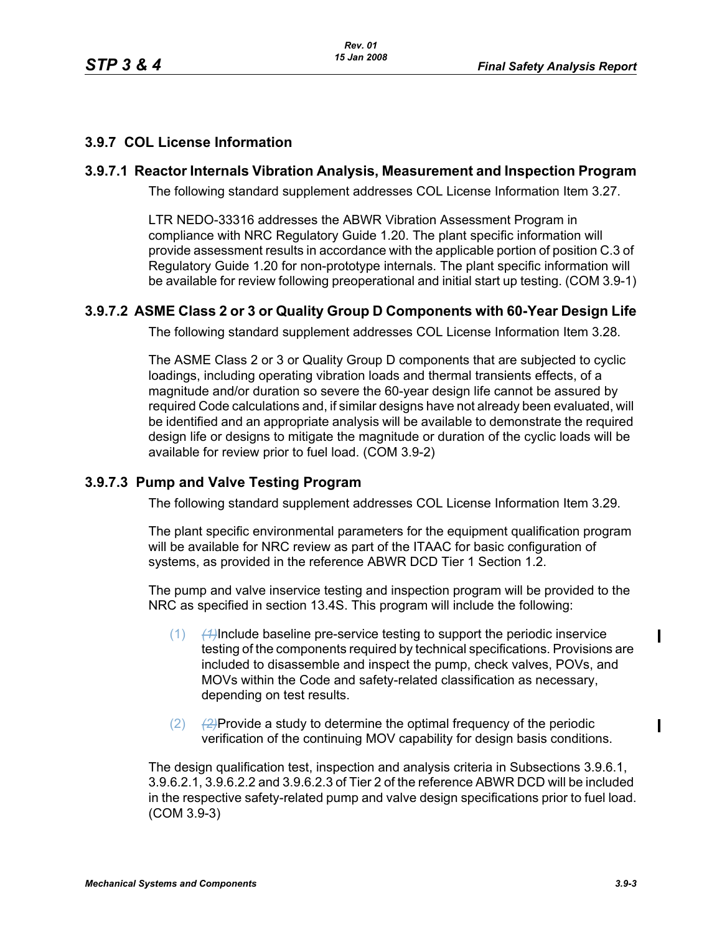# **3.9.7 COL License Information**

#### **3.9.7.1 Reactor Internals Vibration Analysis, Measurement and Inspection Program**

The following standard supplement addresses COL License Information Item 3.27.

LTR NEDO-33316 addresses the ABWR Vibration Assessment Program in compliance with NRC Regulatory Guide 1.20. The plant specific information will provide assessment results in accordance with the applicable portion of position C.3 of Regulatory Guide 1.20 for non-prototype internals. The plant specific information will be available for review following preoperational and initial start up testing. (COM 3.9-1)

## **3.9.7.2 ASME Class 2 or 3 or Quality Group D Components with 60-Year Design Life**

The following standard supplement addresses COL License Information Item 3.28.

The ASME Class 2 or 3 or Quality Group D components that are subjected to cyclic loadings, including operating vibration loads and thermal transients effects, of a magnitude and/or duration so severe the 60-year design life cannot be assured by required Code calculations and, if similar designs have not already been evaluated, will be identified and an appropriate analysis will be available to demonstrate the required design life or designs to mitigate the magnitude or duration of the cyclic loads will be available for review prior to fuel load. (COM 3.9-2)

## **3.9.7.3 Pump and Valve Testing Program**

The following standard supplement addresses COL License Information Item 3.29.

The plant specific environmental parameters for the equipment qualification program will be available for NRC review as part of the ITAAC for basic configuration of systems, as provided in the reference ABWR DCD Tier 1 Section 1.2.

The pump and valve inservice testing and inspection program will be provided to the NRC as specified in section 13.4S. This program will include the following:

- (1) *(1)*Include baseline pre-service testing to support the periodic inservice testing of the components required by technical specifications. Provisions are included to disassemble and inspect the pump, check valves, POVs, and MOVs within the Code and safety-related classification as necessary, depending on test results.
- (2) *(2)*Provide a study to determine the optimal frequency of the periodic verification of the continuing MOV capability for design basis conditions.

The design qualification test, inspection and analysis criteria in Subsections 3.9.6.1, 3.9.6.2.1, 3.9.6.2.2 and 3.9.6.2.3 of Tier 2 of the reference ABWR DCD will be included in the respective safety-related pump and valve design specifications prior to fuel load. (COM 3.9-3)

 $\mathbf I$ 

Π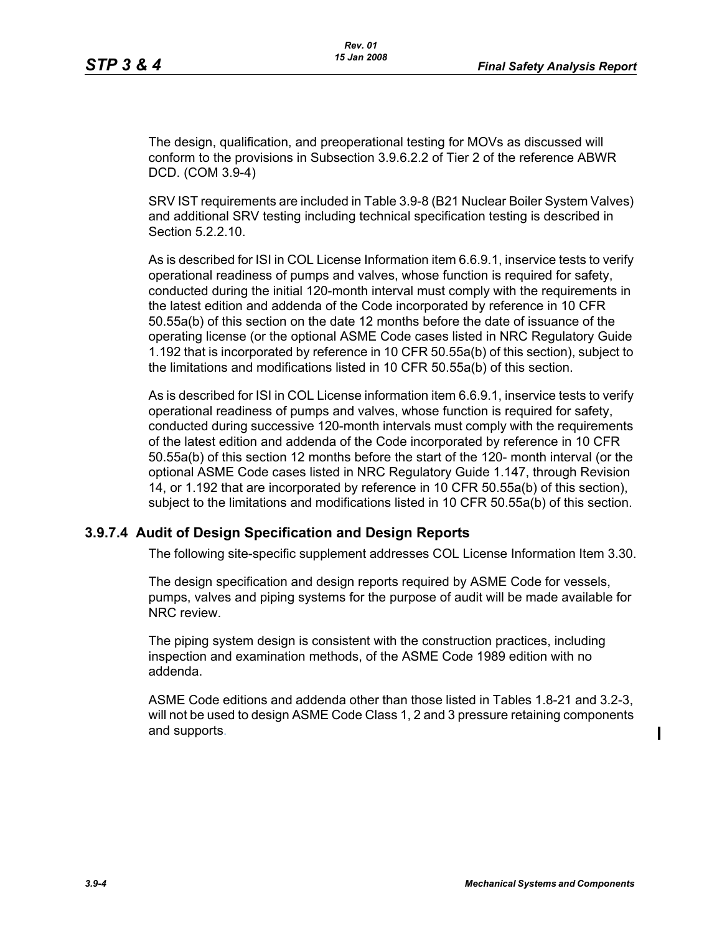The design, qualification, and preoperational testing for MOVs as discussed will conform to the provisions in Subsection 3.9.6.2.2 of Tier 2 of the reference ABWR DCD. (COM 3.9-4)

SRV IST requirements are included in Table 3.9-8 (B21 Nuclear Boiler System Valves) and additional SRV testing including technical specification testing is described in Section 5.2.2.10.

As is described for ISI in COL License Information item 6.6.9.1, inservice tests to verify operational readiness of pumps and valves, whose function is required for safety, conducted during the initial 120-month interval must comply with the requirements in the latest edition and addenda of the Code incorporated by reference in 10 CFR 50.55a(b) of this section on the date 12 months before the date of issuance of the operating license (or the optional ASME Code cases listed in NRC Regulatory Guide 1.192 that is incorporated by reference in 10 CFR 50.55a(b) of this section), subject to the limitations and modifications listed in 10 CFR 50.55a(b) of this section.

As is described for ISI in COL License information item 6.6.9.1, inservice tests to verify operational readiness of pumps and valves, whose function is required for safety, conducted during successive 120-month intervals must comply with the requirements of the latest edition and addenda of the Code incorporated by reference in 10 CFR 50.55a(b) of this section 12 months before the start of the 120- month interval (or the optional ASME Code cases listed in NRC Regulatory Guide 1.147, through Revision 14, or 1.192 that are incorporated by reference in 10 CFR 50.55a(b) of this section), subject to the limitations and modifications listed in 10 CFR 50.55a(b) of this section.

#### **3.9.7.4 Audit of Design Specification and Design Reports**

The following site-specific supplement addresses COL License Information Item 3.30.

The design specification and design reports required by ASME Code for vessels, pumps, valves and piping systems for the purpose of audit will be made available for NRC review.

The piping system design is consistent with the construction practices, including inspection and examination methods, of the ASME Code 1989 edition with no addenda.

ASME Code editions and addenda other than those listed in Tables 1.8-21 and 3.2-3, will not be used to design ASME Code Class 1, 2 and 3 pressure retaining components and supports.

 $\mathbf I$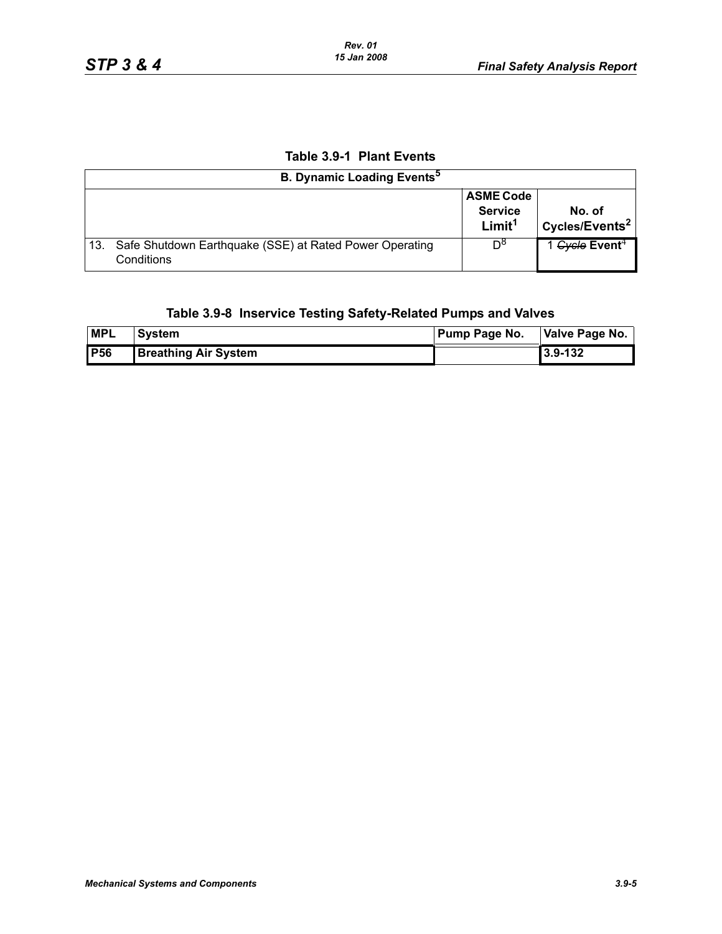# **Table 3.9-1 Plant Events**

| <b>B. Dynamic Loading Events</b> <sup>5</sup> |                                                                           |                                                          |                                      |
|-----------------------------------------------|---------------------------------------------------------------------------|----------------------------------------------------------|--------------------------------------|
|                                               |                                                                           | <b>ASME Code</b><br><b>Service</b><br>Limit <sup>1</sup> | No. of<br>Cycles/Events <sup>2</sup> |
|                                               | 13. Safe Shutdown Earthquake (SSE) at Rated Power Operating<br>Conditions | Do                                                       | 1 Gycle Event <sup>4</sup>           |

## **Table 3.9-8 Inservice Testing Safety-Related Pumps and Valves**

| <b>MPL</b> | System                      | Pump Page No. | Valve Page No. |  |
|------------|-----------------------------|---------------|----------------|--|
| <b>P56</b> | <b>Breathing Air System</b> |               | 3.9-132        |  |